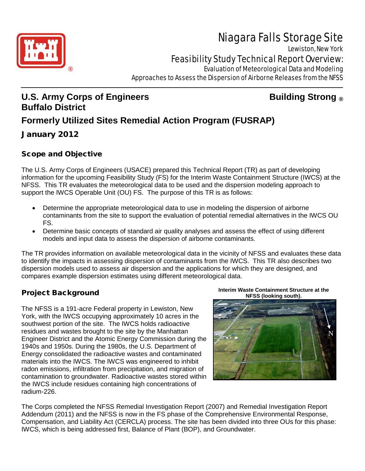

# Niagara Falls Storage Site

Lewiston, New York

Feasibility Study Technical Report Overview:

**Evaluation of Meteorological Data and Modeling** Approaches to Assess the Dispersion of Airborne Releases from the NFSS

# **U.S. Army Corps of Engineers Building Strong ® Buffalo District Formerly Utilized Sites Remedial Action Program (FUSRAP)**

January 2012

# Scope and Objective

The U.S. Army Corps of Engineers (USACE) prepared this Technical Report (TR) as part of developing information for the upcoming Feasibility Study (FS) for the Interim Waste Containment Structure (IWCS) at the NFSS. This TR evaluates the meteorological data to be used and the dispersion modeling approach to support the IWCS Operable Unit (OU) FS. The purpose of this TR is as follows:

- Determine the appropriate meteorological data to use in modeling the dispersion of airborne contaminants from the site to support the evaluation of potential remedial alternatives in the IWCS OU FS.
- Determine basic concepts of standard air quality analyses and assess the effect of using different models and input data to assess the dispersion of airborne contaminants.

The TR provides information on available meteorological data in the vicinity of NFSS and evaluates these data to identify the impacts in assessing dispersion of contaminants from the IWCS. This TR also describes two dispersion models used to assess air dispersion and the applications for which they are designed, and compares example dispersion estimates using different meteorological data.

# Project Background

The NFSS is a 191-acre Federal property in Lewiston, New York, with the IWCS occupying approximately 10 acres in the southwest portion of the site. The IWCS holds radioactive residues and wastes brought to the site by the Manhattan Engineer District and the Atomic Energy Commission during the 1940s and 1950s. During the 1980s, the U.S. Department of Energy consolidated the radioactive wastes and contaminated materials into the IWCS. The IWCS was engineered to inhibit radon emissions, infiltration from precipitation, and migration of contamination to groundwater. Radioactive wastes stored within the IWCS include residues containing high concentrations of radium-226.

**Interim Waste Containment Structure at the NFSS (looking south).**



The Corps completed the NFSS Remedial Investigation Report (2007) and Remedial Investigation Report Addendum (2011) and the NFSS is now in the FS phase of the Comprehensive Environmental Response, Compensation, and Liability Act (CERCLA) process. The site has been divided into three OUs for this phase: IWCS, which is being addressed first, Balance of Plant (BOP), and Groundwater.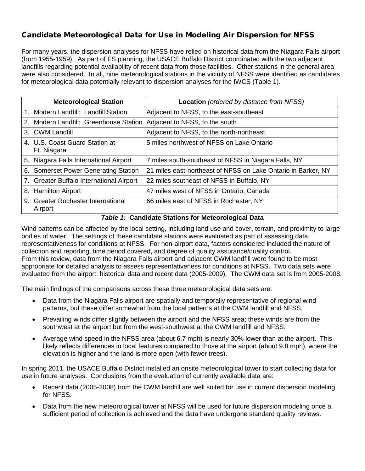#### Candidate Meteorological Data for Use in Modeling Air Dispersion for NFSS

For many years, the dispersion analyses for NFSS have relied on historical data from the Niagara Falls airport (from 1955-1959). As part of FS planning, the USACE Buffalo District coordinated with the two adjacent landfills regarding potential availability of recent data from those facilities. Other stations in the general area were also considered. In all, nine meteorological stations in the vicinity of NFSS were identified as candidates for meteorological data potentially relevant to dispersion analyses for the IWCS (Table 1).

| <b>Meteorological Station</b>                 | <b>Location</b> (ordered by distance from NFSS)               |
|-----------------------------------------------|---------------------------------------------------------------|
| 1. Modern Landfill: Landfill Station          | Adjacent to NFSS, to the east-southeast                       |
| 2. Modern Landfill: Greenhouse Station        | Adjacent to NFSS, to the south                                |
| 3. CWM Landfill                               | Adjacent to NFSS, to the north-northeast                      |
| 4. U.S. Coast Guard Station at<br>Ft. Niagara | 5 miles northwest of NFSS on Lake Ontario                     |
| 5. Niagara Falls International Airport        | 7 miles south-southeast of NFSS in Niagara Falls, NY          |
| 6. Somerset Power Generating Station          | 21 miles east-northeast of NFSS on Lake Ontario in Barker, NY |
| 7. Greater Buffalo International Airport      | 22 miles southeast of NFSS in Buffalo, NY                     |
| 8. Hamilton Airport                           | 47 miles west of NFSS in Ontario, Canada                      |
| 9. Greater Rochester International<br>Airport | 66 miles east of NFSS in Rochester, NY                        |

#### *Table 1:* **Candidate Stations for Meteorological Data**

Wind patterns can be affected by the local setting, including land use and cover, terrain, and proximity to large bodies of water. The settings of these candidate stations were evaluated as part of assessing data representativeness for conditions at NFSS. For non-airport data, factors considered included the nature of collection and reporting, time period covered, and degree of quality assurance/quality control. From this review, data from the Niagara Falls airport and adjacent CWM landfill were found to be most appropriate for detailed analysis to assess representativeness for conditions at NFSS. Two data sets were evaluated from the airport: historical data and recent data (2005-2009). The CWM data set is from 2005-2008.

The main findings of the comparisons across these three meteorological data sets are:

- Data from the Niagara Falls airport are spatially and temporally representative of regional wind patterns, but these differ somewhat from the local patterns at the CWM landfill and NFSS.
- Prevailing winds differ slightly between the airport and the NFSS area; these winds are from the southwest at the airport but from the west-southwest at the CWM landfill and NFSS.
- Average wind speed in the NFSS area (about 6.7 mph) is nearly 30% lower than at the airport. This likely reflects differences in local features compared to those at the airport (about 9.8 mph), where the elevation is higher and the land is more open (with fewer trees).

In spring 2011, the USACE Buffalo District installed an onsite meteorological tower to start collecting data for use in future analyses. Conclusions from the evaluation of currently available data are:

- Recent data (2005-2008) from the CWM landfill are well suited for use in current dispersion modeling for NFSS.
- Data from the new meteorological tower at NFSS will be used for future dispersion modeling once a sufficient period of collection is achieved and the data have undergone standard quality reviews.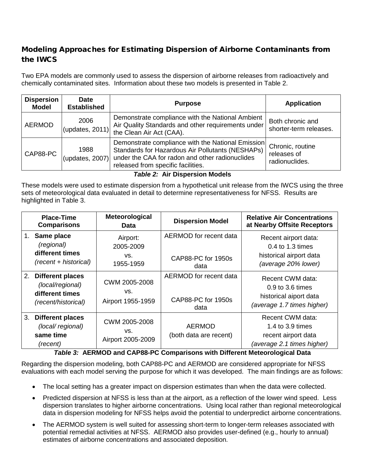### Modeling Approaches for Estimating Dispersion of Airborne Contaminants from the IWCS

Two EPA models are commonly used to assess the dispersion of airborne releases from radioactively and chemically contaminated sites. Information about these two models is presented in Table 2.

| <b>Dispersion</b><br><b>Model</b> | <b>Date</b><br><b>Established</b> | <b>Purpose</b>                                                                                                                                                                                 | <b>Application</b>                                |
|-----------------------------------|-----------------------------------|------------------------------------------------------------------------------------------------------------------------------------------------------------------------------------------------|---------------------------------------------------|
| <b>AERMOD</b>                     | 2006<br>(updates, $2011$ )        | Demonstrate compliance with the National Ambient<br>Air Quality Standards and other requirements under<br>the Clean Air Act (CAA).                                                             | Both chronic and<br>shorter-term releases.        |
| CAP88-PC                          | 1988<br>(updates, $2007$ )        | Demonstrate compliance with the National Emission<br>Standards for Hazardous Air Pollutants (NESHAPs)<br>under the CAA for radon and other radionuclides<br>released from specific facilities. | Chronic, routine<br>releases of<br>radionuclides. |

*Table 2:* **Air Dispersion Models**

These models were used to estimate dispersion from a hypothetical unit release from the IWCS using the three sets of meteorological data evaluated in detail to determine representativeness for NFSS. Results are highlighted in Table 3.

|    | <b>Place-Time</b><br><b>Comparisons</b>                                               | <b>Meteorological</b><br>Data             | <b>Dispersion Model</b>                              | <b>Relative Air Concentrations</b><br>at Nearby Offsite Receptors                            |
|----|---------------------------------------------------------------------------------------|-------------------------------------------|------------------------------------------------------|----------------------------------------------------------------------------------------------|
|    | Same place<br>(regional)<br>different times<br>(recent + historical)                  | Airport:<br>2005-2009<br>VS.<br>1955-1959 | AERMOD for recent data<br>CAP88-PC for 1950s<br>data | Recent airport data:<br>0.4 to 1.3 times<br>historical airport data<br>(average 20% lower)   |
| 2. | <b>Different places</b><br>(local/regional)<br>different times<br>(recent/historical) | CWM 2005-2008<br>VS.<br>Airport 1955-1959 | AERMOD for recent data<br>CAP88-PC for 1950s<br>data | Recent CWM data:<br>0.9 to 3.6 times<br>historical aiport data<br>(average 1.7 times higher) |
| 3. | <b>Different places</b><br>(local/regional)<br>same time<br>(recent)                  | CWM 2005-2008<br>VS.<br>Airport 2005-2009 | <b>AERMOD</b><br>(both data are recent)              | Recent CWM data:<br>1.4 to 3.9 times<br>recent airport data<br>(average 2.1 times higher)    |

*Table 3:* **AERMOD and CAP88-PC Comparisons with Different Meteorological Data**

Regarding the dispersion modeling, both CAP88-PC and AERMOD are considered appropriate for NFSS evaluations with each model serving the purpose for which it was developed. The main findings are as follows:

- The local setting has a greater impact on dispersion estimates than when the data were collected.
- Predicted dispersion at NFSS is less than at the airport, as a reflection of the lower wind speed. Less dispersion translates to higher airborne concentrations. Using local rather than regional meteorological data in dispersion modeling for NFSS helps avoid the potential to underpredict airborne concentrations.
- The AERMOD system is well suited for assessing short-term to longer-term releases associated with potential remedial activities at NFSS. AERMOD also provides user-defined (e.g., hourly to annual) estimates of airborne concentrations and associated deposition.